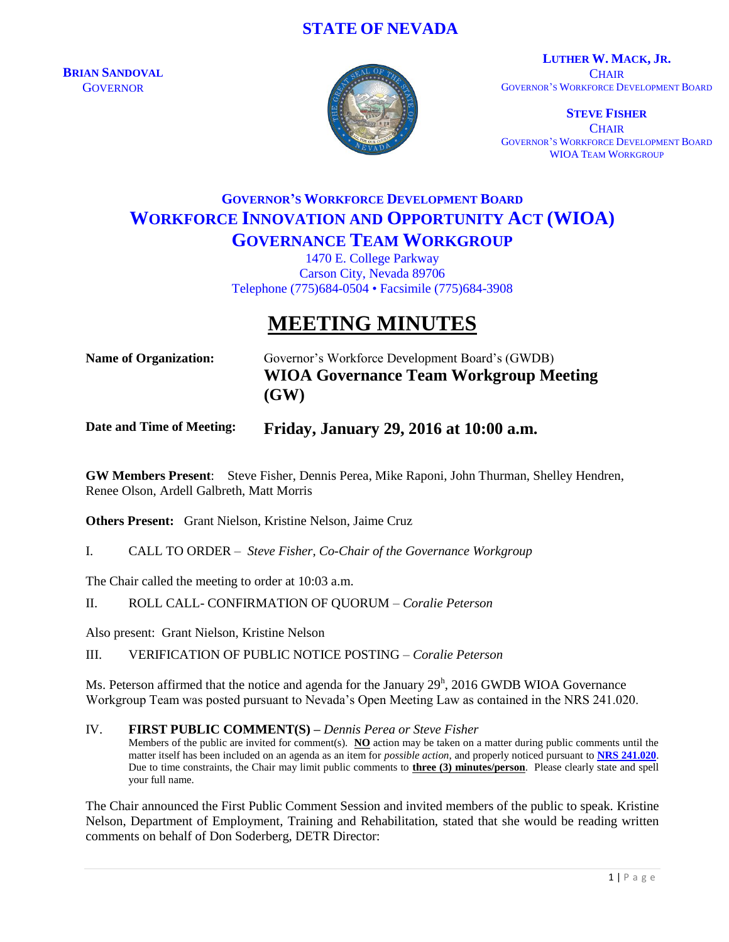# **STATE OF NEVADA**

**BRIAN SANDOVAL GOVERNOR** 



**LUTHER W. MACK, JR. CHAIR** GOVERNOR'S WORKFORCE DEVELOPMENT BOARD

**STEVE FISHER CHAIR** GOVERNOR'S WORKFORCE DEVELOPMENT BOARD WIOA TEAM WORKGROUP

# **GOVERNOR'S WORKFORCE DEVELOPMENT BOARD WORKFORCE INNOVATION AND OPPORTUNITY ACT (WIOA) GOVERNANCE TEAM WORKGROUP**

1470 E. College Parkway Carson City, Nevada 89706 Telephone (775)684-0504 • Facsimile (775)684-3908

# **MEETING MINUTES**

**Name of Organization:** Governor's Workforce Development Board's (GWDB) **WIOA Governance Team Workgroup Meeting (GW)**

## **Date and Time of Meeting: Friday, January 29, 2016 at 10:00 a.m.**

**GW Members Present**: Steve Fisher, Dennis Perea, Mike Raponi, John Thurman, Shelley Hendren, Renee Olson, Ardell Galbreth, Matt Morris

**Others Present:** Grant Nielson, Kristine Nelson, Jaime Cruz

I. CALL TO ORDER – *Steve Fisher, Co-Chair of the Governance Workgroup*

The Chair called the meeting to order at 10:03 a.m.

#### II. ROLL CALL- CONFIRMATION OF QUORUM – *Coralie Peterson*

Also present: Grant Nielson, Kristine Nelson

III. VERIFICATION OF PUBLIC NOTICE POSTING – *Coralie Peterson*

Ms. Peterson affirmed that the notice and agenda for the January  $29<sup>h</sup>$ , 2016 GWDB WIOA Governance Workgroup Team was posted pursuant to Nevada's Open Meeting Law as contained in the NRS 241.020.

#### IV. **FIRST PUBLIC COMMENT(S) –** *Dennis Perea or Steve Fisher*

Members of the public are invited for comment(s). **NO** action may be taken on a matter during public comments until the matter itself has been included on an agenda as an item for *possible action*, and properly noticed pursuant to **[NRS 241.020](http://www.leg.state.nv.us/NRS/NRS-241.html#NRS241Sec020)**. Due to time constraints, the Chair may limit public comments to **three (3) minutes/person**. Please clearly state and spell your full name.

The Chair announced the First Public Comment Session and invited members of the public to speak. Kristine Nelson, Department of Employment, Training and Rehabilitation, stated that she would be reading written comments on behalf of Don Soderberg, DETR Director: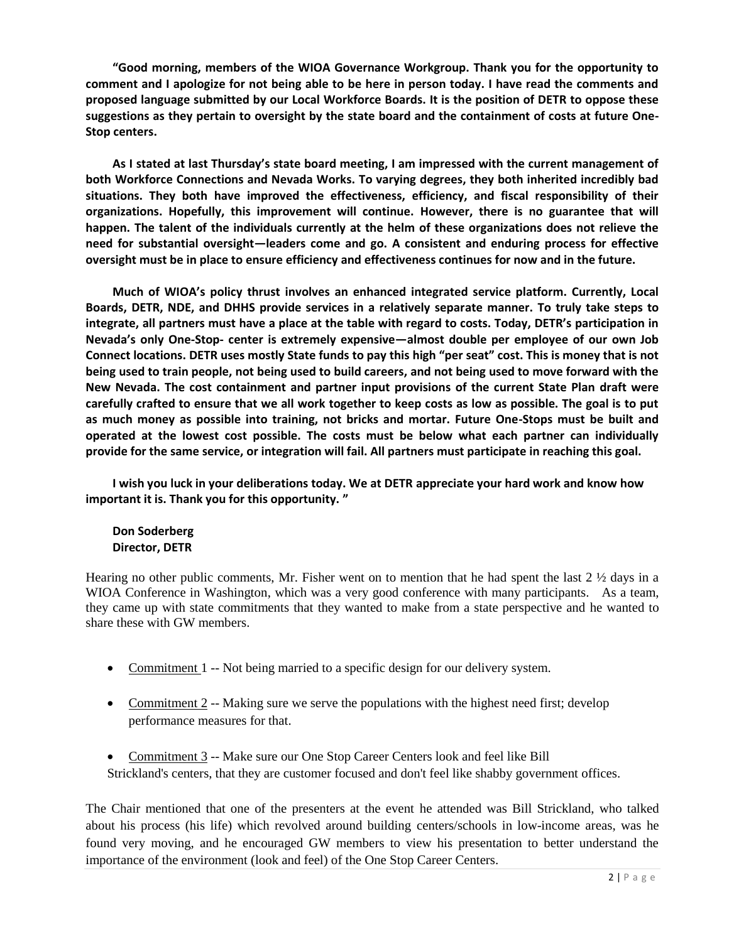**"Good morning, members of the WIOA Governance Workgroup. Thank you for the opportunity to comment and I apologize for not being able to be here in person today. I have read the comments and proposed language submitted by our Local Workforce Boards. It is the position of DETR to oppose these suggestions as they pertain to oversight by the state board and the containment of costs at future One-Stop centers.** 

**As I stated at last Thursday's state board meeting, I am impressed with the current management of both Workforce Connections and Nevada Works. To varying degrees, they both inherited incredibly bad situations. They both have improved the effectiveness, efficiency, and fiscal responsibility of their organizations. Hopefully, this improvement will continue. However, there is no guarantee that will happen. The talent of the individuals currently at the helm of these organizations does not relieve the need for substantial oversight—leaders come and go. A consistent and enduring process for effective oversight must be in place to ensure efficiency and effectiveness continues for now and in the future.** 

**Much of WIOA's policy thrust involves an enhanced integrated service platform. Currently, Local Boards, DETR, NDE, and DHHS provide services in a relatively separate manner. To truly take steps to integrate, all partners must have a place at the table with regard to costs. Today, DETR's participation in Nevada's only One-Stop- center is extremely expensive—almost double per employee of our own Job Connect locations. DETR uses mostly State funds to pay this high "per seat" cost. This is money that is not being used to train people, not being used to build careers, and not being used to move forward with the New Nevada. The cost containment and partner input provisions of the current State Plan draft were carefully crafted to ensure that we all work together to keep costs as low as possible. The goal is to put as much money as possible into training, not bricks and mortar. Future One-Stops must be built and operated at the lowest cost possible. The costs must be below what each partner can individually provide for the same service, or integration will fail. All partners must participate in reaching this goal.** 

**I wish you luck in your deliberations today. We at DETR appreciate your hard work and know how important it is. Thank you for this opportunity. "**

### **Don Soderberg Director, DETR**

Hearing no other public comments. Mr. Fisher went on to mention that he had spent the last  $2\frac{1}{2}$  days in a WIOA Conference in Washington, which was a very good conference with many participants. As a team, they came up with state commitments that they wanted to make from a state perspective and he wanted to share these with GW members.

- Commitment 1 -- Not being married to a specific design for our delivery system.
- Commitment 2 -- Making sure we serve the populations with the highest need first; develop performance measures for that.
- Commitment 3 -- Make sure our One Stop Career Centers look and feel like Bill Strickland's centers, that they are customer focused and don't feel like shabby government offices.

The Chair mentioned that one of the presenters at the event he attended was Bill Strickland, who talked about his process (his life) which revolved around building centers/schools in low-income areas, was he found very moving, and he encouraged GW members to view his presentation to better understand the importance of the environment (look and feel) of the One Stop Career Centers.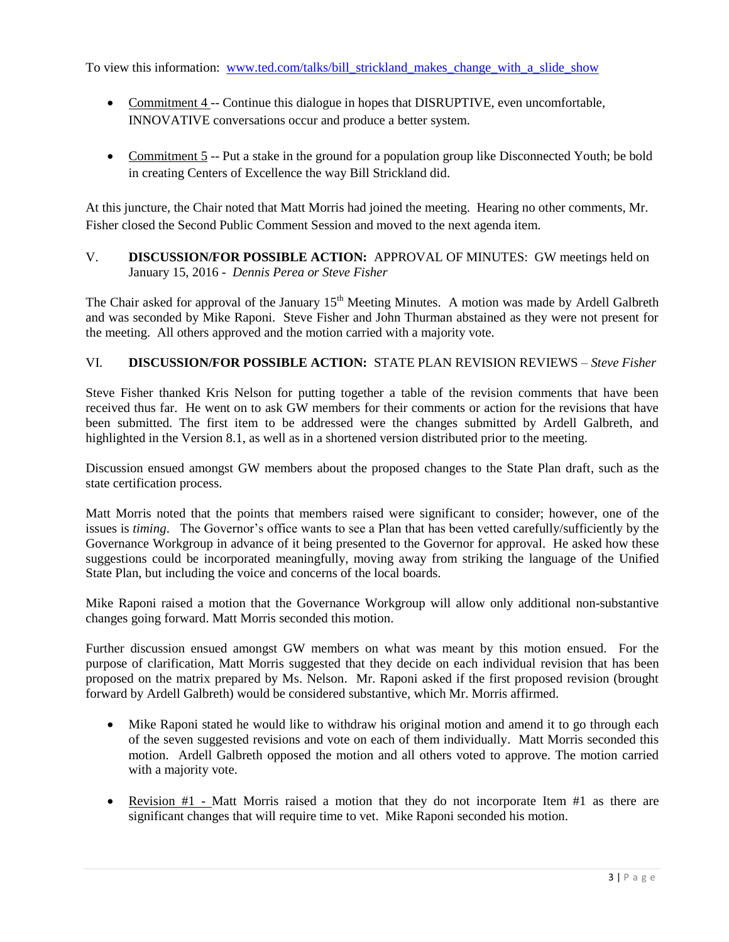To view this information: [www.ted.com/talks/bill\\_strickland\\_makes\\_change\\_with\\_a\\_slide\\_show](http://www.ted.com/talks/bill_strickland_makes_change_with_a_slide_show)

- Commitment 4 -- Continue this dialogue in hopes that DISRUPTIVE, even uncomfortable, INNOVATIVE conversations occur and produce a better system.
- Commitment 5 -- Put a stake in the ground for a population group like Disconnected Youth; be bold in creating Centers of Excellence the way Bill Strickland did.

At this juncture, the Chair noted that Matt Morris had joined the meeting. Hearing no other comments, Mr. Fisher closed the Second Public Comment Session and moved to the next agenda item.

V. **DISCUSSION/FOR POSSIBLE ACTION:** APPROVAL OF MINUTES: GW meetings held on January 15, 2016 - *Dennis Perea or Steve Fisher*

The Chair asked for approval of the January  $15<sup>th</sup>$  Meeting Minutes. A motion was made by Ardell Galbreth and was seconded by Mike Raponi. Steve Fisher and John Thurman abstained as they were not present for the meeting. All others approved and the motion carried with a majority vote.

## VI. **DISCUSSION/FOR POSSIBLE ACTION:** STATE PLAN REVISION REVIEWS – *Steve Fisher*

Steve Fisher thanked Kris Nelson for putting together a table of the revision comments that have been received thus far. He went on to ask GW members for their comments or action for the revisions that have been submitted. The first item to be addressed were the changes submitted by Ardell Galbreth, and highlighted in the Version 8.1, as well as in a shortened version distributed prior to the meeting.

Discussion ensued amongst GW members about the proposed changes to the State Plan draft, such as the state certification process.

Matt Morris noted that the points that members raised were significant to consider; however, one of the issues is *timing*. The Governor's office wants to see a Plan that has been vetted carefully/sufficiently by the Governance Workgroup in advance of it being presented to the Governor for approval. He asked how these suggestions could be incorporated meaningfully, moving away from striking the language of the Unified State Plan, but including the voice and concerns of the local boards.

Mike Raponi raised a motion that the Governance Workgroup will allow only additional non-substantive changes going forward. Matt Morris seconded this motion.

Further discussion ensued amongst GW members on what was meant by this motion ensued. For the purpose of clarification, Matt Morris suggested that they decide on each individual revision that has been proposed on the matrix prepared by Ms. Nelson. Mr. Raponi asked if the first proposed revision (brought forward by Ardell Galbreth) would be considered substantive, which Mr. Morris affirmed.

- Mike Raponi stated he would like to withdraw his original motion and amend it to go through each of the seven suggested revisions and vote on each of them individually. Matt Morris seconded this motion. Ardell Galbreth opposed the motion and all others voted to approve. The motion carried with a majority vote.
- Revision  $#1$  Matt Morris raised a motion that they do not incorporate Item  $#1$  as there are significant changes that will require time to vet. Mike Raponi seconded his motion.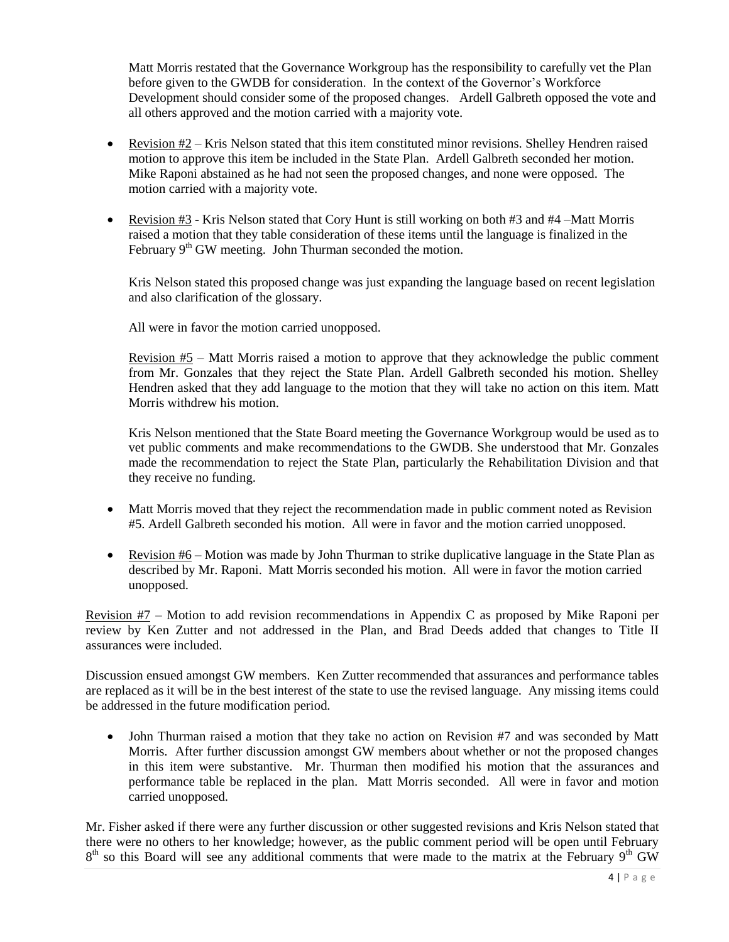Matt Morris restated that the Governance Workgroup has the responsibility to carefully vet the Plan before given to the GWDB for consideration. In the context of the Governor's Workforce Development should consider some of the proposed changes. Ardell Galbreth opposed the vote and all others approved and the motion carried with a majority vote.

- Revision  $#2 -$ Kris Nelson stated that this item constituted minor revisions. Shelley Hendren raised motion to approve this item be included in the State Plan. Ardell Galbreth seconded her motion. Mike Raponi abstained as he had not seen the proposed changes, and none were opposed. The motion carried with a majority vote.
- Exercision  $#3$  Kris Nelson stated that Cory Hunt is still working on both  $#3$  and  $#4$  –Matt Morris raised a motion that they table consideration of these items until the language is finalized in the February  $9<sup>th</sup>$  GW meeting. John Thurman seconded the motion.

Kris Nelson stated this proposed change was just expanding the language based on recent legislation and also clarification of the glossary.

All were in favor the motion carried unopposed.

Revision #5 – Matt Morris raised a motion to approve that they acknowledge the public comment from Mr. Gonzales that they reject the State Plan. Ardell Galbreth seconded his motion. Shelley Hendren asked that they add language to the motion that they will take no action on this item. Matt Morris withdrew his motion.

Kris Nelson mentioned that the State Board meeting the Governance Workgroup would be used as to vet public comments and make recommendations to the GWDB. She understood that Mr. Gonzales made the recommendation to reject the State Plan, particularly the Rehabilitation Division and that they receive no funding.

- Matt Morris moved that they reject the recommendation made in public comment noted as Revision #5. Ardell Galbreth seconded his motion. All were in favor and the motion carried unopposed.
- Revision #6 Motion was made by John Thurman to strike duplicative language in the State Plan as described by Mr. Raponi. Matt Morris seconded his motion. All were in favor the motion carried unopposed.

Revision #7 – Motion to add revision recommendations in Appendix C as proposed by Mike Raponi per review by Ken Zutter and not addressed in the Plan, and Brad Deeds added that changes to Title II assurances were included.

Discussion ensued amongst GW members. Ken Zutter recommended that assurances and performance tables are replaced as it will be in the best interest of the state to use the revised language. Any missing items could be addressed in the future modification period.

• John Thurman raised a motion that they take no action on Revision #7 and was seconded by Matt Morris. After further discussion amongst GW members about whether or not the proposed changes in this item were substantive. Mr. Thurman then modified his motion that the assurances and performance table be replaced in the plan. Matt Morris seconded. All were in favor and motion carried unopposed.

Mr. Fisher asked if there were any further discussion or other suggested revisions and Kris Nelson stated that there were no others to her knowledge; however, as the public comment period will be open until February  $8<sup>th</sup>$  so this Board will see any additional comments that were made to the matrix at the February  $9<sup>th</sup>$  GW